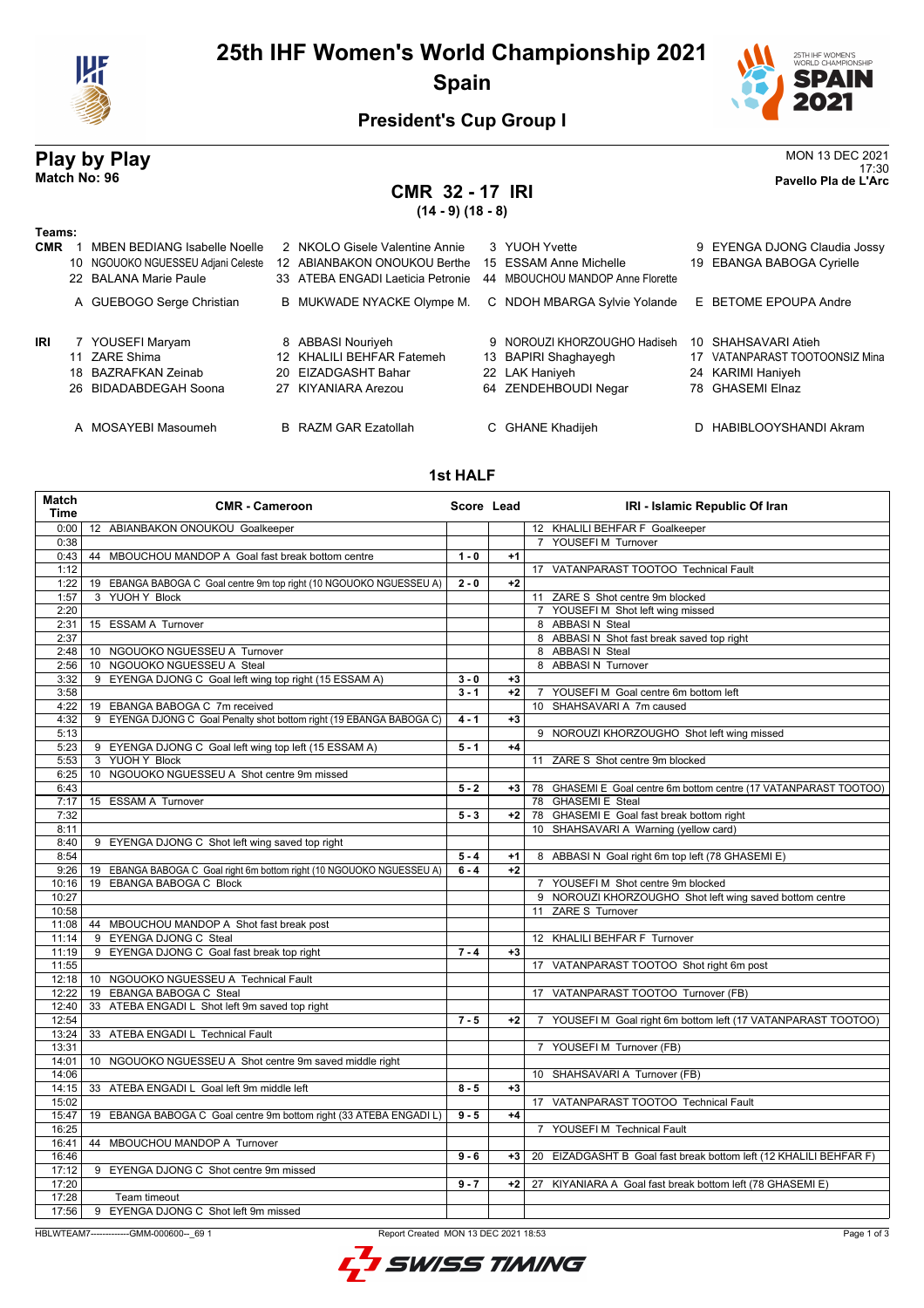

# **25th IHF Women's World Championship 2021 Spain**



## **President's Cup Group I**

# **Play by Play** MON 13 DEC 2021<br>Match No: 96<br>Pavello Pla de l'Arc 17:30 **Match No: 96 Pavello Pla de L'Arc CMR 32 - 17 IRI (14 - 9) (18 - 8) Teams: CMR** 1 MBEN BEDIANG Isabelle Noelle 2 NKOLO Gisele Valentine Annie 3 YUOH Yvette 9 EYENGA DJONG Claudia Jossy<br>10 NGOUOKO NGUESSEU Adiani Celeste 12 ABIANBAKON ONOUKOU Berthe 15 ESSAM Anne Michelle 19 EBANGA BABOGA Cvriell 10 NGOUOKO NGUESSEU Adiani Celeste 12 ABIANBAKON ONOUKOU Berthe 15 ESSAM Anne Michelle 22 BALANA Marie Paule 33 ATEBA ENGADI Laeticia Petronie 44 MBOUCHOU MANDOP Anne Florette A GUEBOGO Serge Christian B MUKWADE NYACKE Olympe M. C NDOH MBARGA Sylvie Yolande E BETOME EPOUPA Andre **IRI** 7 YOUSEFI Maryam 8 ABBASI Nouriyeh 9 NOROUZI KHORZOUGHO Hadiseh 10 SHAHSAVARI Atieh 11 ZARE Shima 12 KHALILI BEHFAR Fatemeh 13 BAPIRI Shaghayegh 17 VATANPARAST TOOTOONSIZ Mina<br>18 BAZRAFKAN Zeinab 20 EIZADGASHT Bahar 22 LAK Haniyeh 24 KARIMI Haniyeh 18 BAZRAFKAN Zeinab 20 EIZADGASHT Bahar 22 LAK Haniyeh 24 KARIMI Haniyeh 26 BIDADABDEGAH Soona A MOSAYEBI Masoumeh B RAZM GAR Ezatollah C GHANE Khadijeh D HABIBLOOYSHANDI Akram

### **1st HALF**

| Match<br><b>Time</b> | <b>CMR - Cameroon</b>                                                 |         | Score Lead | IRI - Islamic Republic Of Iran                                             |
|----------------------|-----------------------------------------------------------------------|---------|------------|----------------------------------------------------------------------------|
| 0:00                 | 12 ABIANBAKON ONOUKOU Goalkeeper                                      |         |            | 12 KHALILI BEHFAR F Goalkeeper                                             |
| 0:38                 |                                                                       |         |            | 7 YOUSEFI M Turnover                                                       |
| 0:43                 | MBOUCHOU MANDOP A Goal fast break bottom centre<br>44                 | $1 - 0$ | $+1$       |                                                                            |
| 1:12                 |                                                                       |         |            | 17 VATANPARAST TOOTOO Technical Fault                                      |
| 1:22                 | 19 EBANGA BABOGA C Goal centre 9m top right (10 NGOUOKO NGUESSEU A)   | $2 - 0$ | $+2$       |                                                                            |
| 1:57                 | 3 YUOH Y Block                                                        |         |            | 11 ZARE S Shot centre 9m blocked                                           |
| 2:20                 |                                                                       |         |            | 7 YOUSEFIM Shot left wing missed                                           |
| 2:31                 | 15 ESSAM A Turnover                                                   |         |            | 8 ABBASIN Steal                                                            |
| 2:37                 |                                                                       |         |            | 8 ABBASI N Shot fast break saved top right                                 |
| 2:48                 | 10 NGOUOKO NGUESSEU A Turnover                                        |         |            | 8 ABBASIN Steal                                                            |
| 2:56                 | 10 NGOUOKO NGUESSEU A Steal                                           |         |            | 8 ABBASI N Turnover                                                        |
| 3:32                 | 9 EYENGA DJONG C Goal left wing top right (15 ESSAM A)                | $3 - 0$ | $+3$       |                                                                            |
| 3:58                 |                                                                       | $3 - 1$ | $+2$       | 7 YOUSEFI M Goal centre 6m bottom left                                     |
| 4:22                 | 19 EBANGA BABOGA C 7m received                                        |         |            | 10 SHAHSAVARI A 7m caused                                                  |
| 4:32                 | 9 EYENGA DJONG C Goal Penalty shot bottom right (19 EBANGA BABOGA C)  | $4 - 1$ | $+3$       |                                                                            |
| 5:13                 |                                                                       |         |            | 9 NOROUZI KHORZOUGHO Shot left wing missed                                 |
| 5:23                 | 9 EYENGA DJONG C Goal left wing top left (15 ESSAM A)                 | $5 - 1$ | $+4$       |                                                                            |
| 5:53                 | 3 YUOH Y Block                                                        |         |            | 11 ZARE S Shot centre 9m blocked                                           |
| 6:25                 | 10 NGOUOKO NGUESSEU A Shot centre 9m missed                           |         |            |                                                                            |
| 6:43                 |                                                                       | $5 - 2$ | $+3$       | 78 GHASEMI E Goal centre 6m bottom centre (17 VATANPARAST TOOTOO)          |
| 7:17                 | 15 ESSAM A Turnover                                                   |         |            | 78 GHASEMI E Steal                                                         |
| 7:32                 |                                                                       | $5 - 3$ | $+2$       | 78 GHASEMI E Goal fast break bottom right                                  |
| 8:11                 |                                                                       |         |            | 10 SHAHSAVARI A Warning (yellow card)                                      |
| 8:40                 | 9 EYENGA DJONG C Shot left wing saved top right                       |         |            |                                                                            |
| 8:54                 |                                                                       | $5 - 4$ | $+1$       | 8 ABBASI N Goal right 6m top left (78 GHASEMI E)                           |
| 9:26                 | 19 EBANGA BABOGA C Goal right 6m bottom right (10 NGOUOKO NGUESSEU A) | $6 - 4$ | $+2$       |                                                                            |
| 10:16                | 19 EBANGA BABOGA C Block                                              |         |            | 7 YOUSEFIM Shot centre 9m blocked                                          |
| 10:27                |                                                                       |         |            | 9 NOROUZI KHORZOUGHO Shot left wing saved bottom centre                    |
| 10:58                |                                                                       |         |            | 11 ZARE S Turnover                                                         |
| 11:08                | 44 MBOUCHOU MANDOP A Shot fast break post                             |         |            |                                                                            |
| 11:14                | 9 EYENGA DJONG C Steal                                                |         |            | 12 KHALILI BEHFAR F Turnover                                               |
| 11:19<br>11:55       | 9 EYENGA DJONG C Goal fast break top right                            | $7 - 4$ | $+3$       |                                                                            |
| 12:18                | 10 NGOUOKO NGUESSEU A Technical Fault                                 |         |            | 17 VATANPARAST TOOTOO Shot right 6m post                                   |
|                      | 19 EBANGA BABOGA C Steal                                              |         |            |                                                                            |
| 12:22<br>12:40       | 33 ATEBA ENGADI L Shot left 9m saved top right                        |         |            | 17 VATANPARAST TOOTOO Turnover (FB)                                        |
| 12:54                |                                                                       | $7 - 5$ | $+2$       | YOUSEFI M Goal right 6m bottom left (17 VATANPARAST TOOTOO)<br>$7^{\circ}$ |
| 13:24                | 33 ATEBA ENGADI L Technical Fault                                     |         |            |                                                                            |
| 13:31                |                                                                       |         |            | 7 YOUSEFI M Turnover (FB)                                                  |
| 14:01                | 10 NGOUOKO NGUESSEU A Shot centre 9m saved middle right               |         |            |                                                                            |
| 14:06                |                                                                       |         |            | 10 SHAHSAVARI A Turnover (FB)                                              |
| 14:15                | 33 ATEBA ENGADI L Goal left 9m middle left                            | $8 - 5$ | $+3$       |                                                                            |
| 15:02                |                                                                       |         |            | 17 VATANPARAST TOOTOO Technical Fault                                      |
| 15:47                | 19 EBANGA BABOGA C Goal centre 9m bottom right (33 ATEBA ENGADI L)    | $9 - 5$ | $+4$       |                                                                            |
| 16:25                |                                                                       |         |            | 7 YOUSEFI M Technical Fault                                                |
| 16:41                | 44 MBOUCHOU MANDOP A Turnover                                         |         |            |                                                                            |
| 16:46                |                                                                       | $9 - 6$ | $+3$       | 20 EIZADGASHT B Goal fast break bottom left (12 KHALILI BEHFAR F)          |
| 17:12                | 9 EYENGA DJONG C Shot centre 9m missed                                |         |            |                                                                            |
| 17:20                |                                                                       | $9 - 7$ | $+2$       | 27 KIYANIARA A Goal fast break bottom left (78 GHASEMI E)                  |
| 17:28                | Team timeout                                                          |         |            |                                                                            |
| 17:56                | 9 EYENGA DJONG C Shot left 9m missed                                  |         |            |                                                                            |

HBLWTEAM7-------------GMM-000600--\_69 1 Report Created MON 13 DEC 2021 18:53

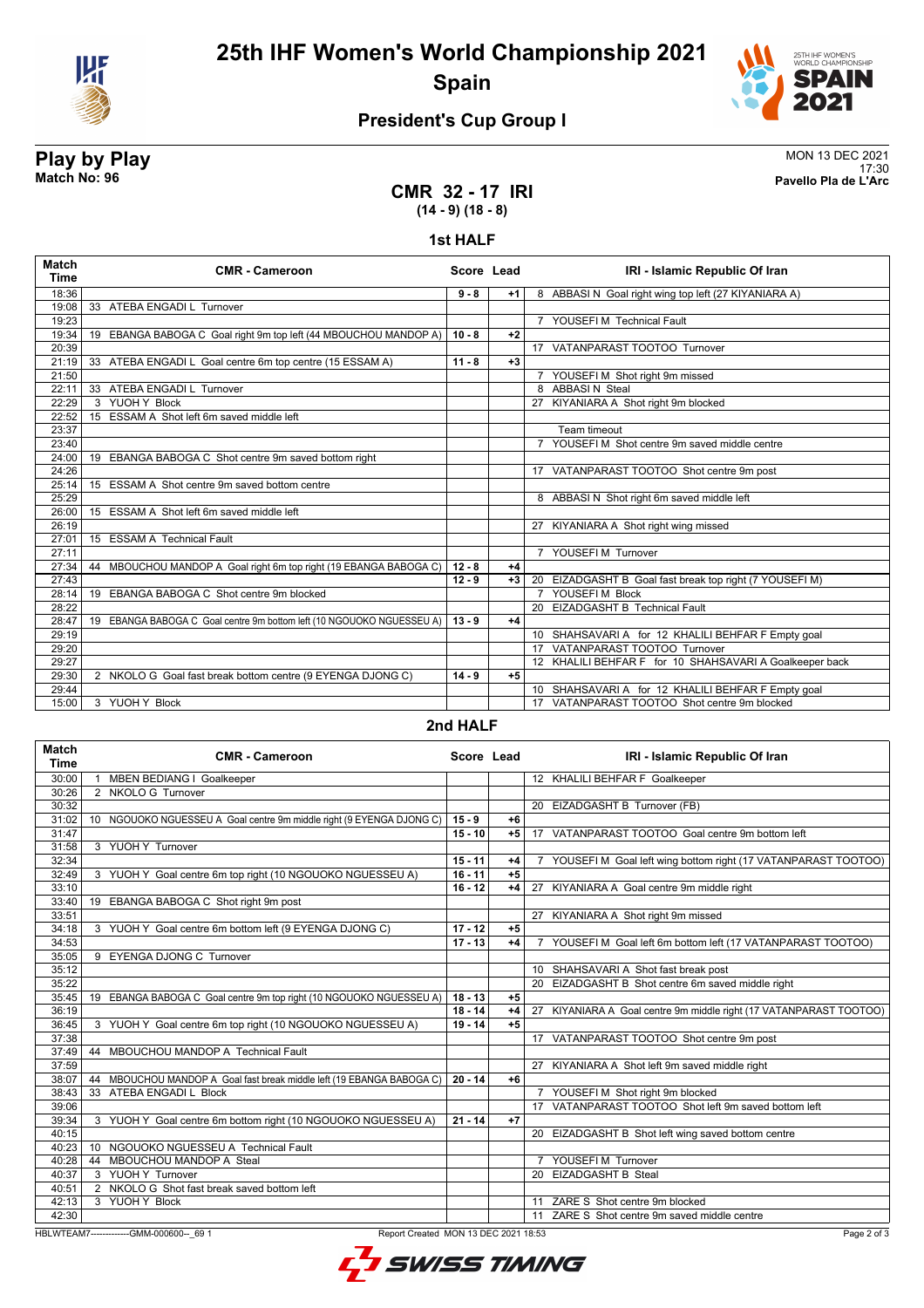



# **President's Cup Group I**

**Play by Play**<br>MON 13 DEC 2021<br>Patch No: 96<br>Patch No: 96 17:30 **Match No: 96 Pavello Pla de L'Arc**

## **CMR 32 - 17 IRI (14 - 9) (18 - 8)**

#### **1st HALF**

| <b>Match</b><br><b>Time</b> | <b>CMR - Cameroon</b>                                                    | Score Lead |      | IRI - Islamic Republic Of Iran                                 |
|-----------------------------|--------------------------------------------------------------------------|------------|------|----------------------------------------------------------------|
| 18:36                       |                                                                          | $9 - 8$    | $+1$ | 8 ABBASI N Goal right wing top left (27 KIYANIARA A)           |
| 19:08                       | 33 ATEBA ENGADI L Turnover                                               |            |      |                                                                |
| 19:23                       |                                                                          |            |      | 7 YOUSEFI M Technical Fault                                    |
| 19:34                       | EBANGA BABOGA C Goal right 9m top left (44 MBOUCHOU MANDOP A)<br>19      | $10 - 8$   | $+2$ |                                                                |
| 20:39                       |                                                                          |            |      | 17 VATANPARAST TOOTOO Turnover                                 |
| 21:19                       | 33 ATEBA ENGADI L Goal centre 6m top centre (15 ESSAM A)                 | $11 - 8$   | $+3$ |                                                                |
| 21:50                       |                                                                          |            |      | 7 YOUSEFI M Shot right 9m missed                               |
| 22:11                       | 33 ATEBA ENGADI L Turnover                                               |            |      | 8 ABBASIN Steal                                                |
| 22:29                       | 3 YUOH Y Block                                                           |            |      | 27 KIYANIARA A Shot right 9m blocked                           |
| 22:52                       | 15 ESSAM A Shot left 6m saved middle left                                |            |      |                                                                |
| 23:37                       |                                                                          |            |      | Team timeout                                                   |
| 23:40                       |                                                                          |            |      | $\overline{7}$<br>YOUSEFI M Shot centre 9m saved middle centre |
| 24:00                       | 19 EBANGA BABOGA C Shot centre 9m saved bottom right                     |            |      |                                                                |
| 24:26                       |                                                                          |            |      | 17 VATANPARAST TOOTOO Shot centre 9m post                      |
| 25:14                       | 15 ESSAM A Shot centre 9m saved bottom centre                            |            |      |                                                                |
| 25:29                       |                                                                          |            |      | 8 ABBASI N Shot right 6m saved middle left                     |
| 26:00                       | 15 ESSAM A Shot left 6m saved middle left                                |            |      |                                                                |
| 26:19                       |                                                                          |            |      | 27 KIYANIARA A Shot right wing missed                          |
| 27:01                       | 15 ESSAM A Technical Fault                                               |            |      |                                                                |
| 27:11                       |                                                                          |            |      | 7 YOUSEFIM Turnover                                            |
| 27:34                       | MBOUCHOU MANDOP A Goal right 6m top right (19 EBANGA BABOGA C)<br>44     | $12 - 8$   | $+4$ |                                                                |
| 27:43                       |                                                                          | $12 - 9$   | $+3$ | 20 EIZADGASHT B Goal fast break top right (7 YOUSEFI M)        |
| 28:14                       | EBANGA BABOGA C Shot centre 9m blocked<br>19                             |            |      | 7 YOUSEFIM Block                                               |
| 28:22                       |                                                                          |            |      | 20 EIZADGASHT B Technical Fault                                |
| 28:47                       | EBANGA BABOGA C Goal centre 9m bottom left (10 NGOUOKO NGUESSEU A)<br>19 | $13 - 9$   | $+4$ |                                                                |
| 29:19                       |                                                                          |            |      | 10 SHAHSAVARI A for 12 KHALILI BEHFAR F Empty goal             |
| 29:20                       |                                                                          |            |      | 17 VATANPARAST TOOTOO Turnover                                 |
| 29:27                       |                                                                          |            |      | 12 KHALILI BEHFAR F for 10 SHAHSAVARI A Goalkeeper back        |
| 29:30                       | 2 NKOLO G Goal fast break bottom centre (9 EYENGA DJONG C)               | $14 - 9$   | $+5$ |                                                                |
| 29:44                       |                                                                          |            |      | 10 SHAHSAVARI A for 12 KHALILI BEHFAR F Empty goal             |
| 15:00                       | 3 YUOH Y Block                                                           |            |      | 17 VATANPARAST TOOTOO Shot centre 9m blocked                   |

## **2nd HALF**

| Match<br><b>Time</b> | <b>CMR - Cameroon</b>                                                    | Score Lead |      | IRI - Islamic Republic Of Iran                                     |
|----------------------|--------------------------------------------------------------------------|------------|------|--------------------------------------------------------------------|
| 30:00                | <b>MBEN BEDIANG I Goalkeeper</b>                                         |            |      | 12 KHALILI BEHFAR F Goalkeeper                                     |
| 30:26                | 2 NKOLO G Turnover                                                       |            |      |                                                                    |
| 30:32                |                                                                          |            |      | 20 EIZADGASHT B Turnover (FB)                                      |
| 31:02                | 10 NGOUOKO NGUESSEU A Goal centre 9m middle right (9 EYENGA DJONG C)     | $15 - 9$   | $+6$ |                                                                    |
| 31:47                |                                                                          | $15 - 10$  | $+5$ | 17 VATANPARAST TOOTOO Goal centre 9m bottom left                   |
| 31:58                | 3 YUOH Y Turnover                                                        |            |      |                                                                    |
| 32:34                |                                                                          | $15 - 11$  | $+4$ | YOUSEFI M Goal left wing bottom right (17 VATANPARAST TOOTOO)      |
| 32:49                | 3 YUOH Y Goal centre 6m top right (10 NGOUOKO NGUESSEU A)                | $16 - 11$  | $+5$ |                                                                    |
| 33:10                |                                                                          | $16 - 12$  | $+4$ | 27 KIYANIARA A Goal centre 9m middle right                         |
| 33:40                | 19 EBANGA BABOGA C Shot right 9m post                                    |            |      |                                                                    |
| 33:51                |                                                                          |            |      | 27 KIYANIARA A Shot right 9m missed                                |
| 34:18                | 3 YUOH Y Goal centre 6m bottom left (9 EYENGA DJONG C)                   | $17 - 12$  | $+5$ |                                                                    |
| 34:53                |                                                                          | $17 - 13$  | $+4$ | 7 YOUSEFI M Goal left 6m bottom left (17 VATANPARAST TOOTOO)       |
| 35:05                | 9 EYENGA DJONG C Turnover                                                |            |      |                                                                    |
| 35:12                |                                                                          |            |      | 10 SHAHSAVARI A Shot fast break post                               |
| 35:22                |                                                                          |            |      | 20 EIZADGASHT B Shot centre 6m saved middle right                  |
| 35:45                | 19 EBANGA BABOGA C Goal centre 9m top right (10 NGOUOKO NGUESSEU A)      | $18 - 13$  | $+5$ |                                                                    |
| 36:19                |                                                                          | $18 - 14$  | $+4$ | 27 KIYANIARA A Goal centre 9m middle right (17 VATANPARAST TOOTOO) |
| 36:45                | 3 YUOH Y Goal centre 6m top right (10 NGOUOKO NGUESSEU A)                | $19 - 14$  | $+5$ |                                                                    |
| 37:38                |                                                                          |            |      | 17 VATANPARAST TOOTOO Shot centre 9m post                          |
| 37:49                | 44 MBOUCHOU MANDOP A Technical Fault                                     |            |      |                                                                    |
| 37:59                |                                                                          |            |      | 27 KIYANIARA A Shot left 9m saved middle right                     |
| 38:07                | MBOUCHOU MANDOP A Goal fast break middle left (19 EBANGA BABOGA C)<br>44 | $20 - 14$  | $+6$ |                                                                    |
| 38:43                | 33 ATEBA ENGADI L Block                                                  |            |      | 7 YOUSEFI M Shot right 9m blocked                                  |
| 39:06                |                                                                          |            |      | 17 VATANPARAST TOOTOO Shot left 9m saved bottom left               |
| 39:34                | 3 YUOH Y Goal centre 6m bottom right (10 NGOUOKO NGUESSEU A)             | $21 - 14$  | $+7$ |                                                                    |
| 40:15                |                                                                          |            |      | 20 EIZADGASHT B Shot left wing saved bottom centre                 |
| 40:23                | NGOUOKO NGUESSEU A Technical Fault<br>10 <sup>1</sup>                    |            |      |                                                                    |
| 40:28                | MBOUCHOU MANDOP A Steal<br>44                                            |            |      | YOUSEFIM Turnover                                                  |
| 40:37                | 3 YUOH Y Turnover                                                        |            |      | 20 EIZADGASHT B Steal                                              |
| 40:51                | 2 NKOLO G Shot fast break saved bottom left                              |            |      |                                                                    |
| 42:13                | 3 YUOH Y Block                                                           |            |      | 11 ZARE S Shot centre 9m blocked                                   |
| 42:30                |                                                                          |            |      | 11 ZARE S Shot centre 9m saved middle centre                       |

HBLWTEAM7-------------GMM-000600--\_69 1 Report Created MON 13 DEC 2021 18:53